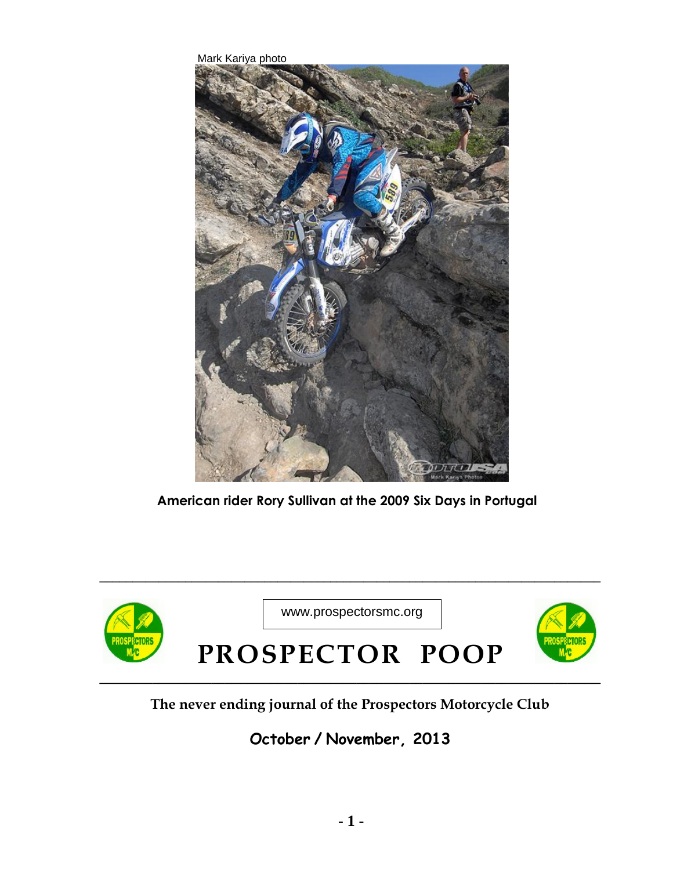Mark Kariya photo



**American rider Rory Sullivan at the 2009 Six Days in Portugal**



## **The never ending journal of the Prospectors Motorcycle Club**

## **October / November, 2013**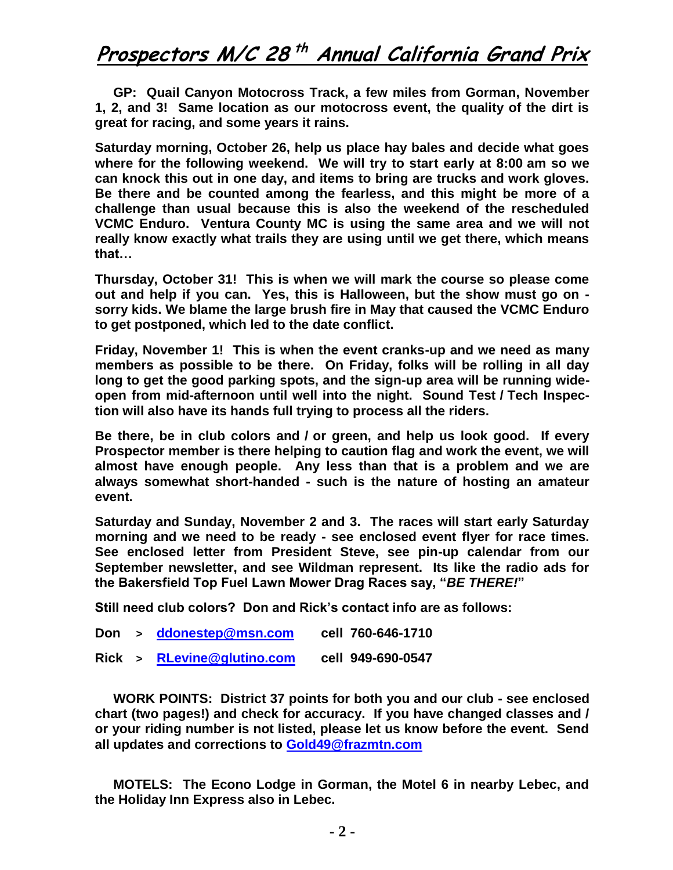## **Prospectors M/C 28 th Annual California Grand Prix**

 **GP: Quail Canyon Motocross Track, a few miles from Gorman, November 1, 2, and 3! Same location as our motocross event, the quality of the dirt is great for racing, and some years it rains.** 

**Saturday morning, October 26, help us place hay bales and decide what goes where for the following weekend. We will try to start early at 8:00 am so we can knock this out in one day, and items to bring are trucks and work gloves. Be there and be counted among the fearless, and this might be more of a challenge than usual because this is also the weekend of the rescheduled VCMC Enduro. Ventura County MC is using the same area and we will not really know exactly what trails they are using until we get there, which means that…**

**Thursday, October 31! This is when we will mark the course so please come out and help if you can. Yes, this is Halloween, but the show must go on sorry kids. We blame the large brush fire in May that caused the VCMC Enduro to get postponed, which led to the date conflict.** 

**Friday, November 1! This is when the event cranks-up and we need as many members as possible to be there. On Friday, folks will be rolling in all day long to get the good parking spots, and the sign-up area will be running wideopen from mid-afternoon until well into the night. Sound Test / Tech Inspection will also have its hands full trying to process all the riders.** 

**Be there, be in club colors and / or green, and help us look good. If every Prospector member is there helping to caution flag and work the event, we will almost have enough people. Any less than that is a problem and we are always somewhat short-handed - such is the nature of hosting an amateur event.** 

**Saturday and Sunday, November 2 and 3. The races will start early Saturday morning and we need to be ready - see enclosed event flyer for race times. See enclosed letter from President Steve, see pin-up calendar from our September newsletter, and see Wildman represent. Its like the radio ads for the Bakersfield Top Fuel Lawn Mower Drag Races say, "***BE THERE!***"** 

**Still need club colors? Don and Rick's contact info are as follows:** 

- **Don > [ddonestep@msn.com](mailto:ddonestep@msn.com) cell 760-646-1710**
- **Rick > [RLevine@glutino.com](mailto:RLevine@glutino.com) cell 949-690-0547**

 **WORK POINTS: District 37 points for both you and our club - see enclosed chart (two pages!) and check for accuracy. If you have changed classes and / or your riding number is not listed, please let us know before the event. Send all updates and corrections to [Gold49@frazmtn.com](mailto:Gold49@frazmtn.com)**

 **MOTELS: The Econo Lodge in Gorman, the Motel 6 in nearby Lebec, and the Holiday Inn Express also in Lebec.**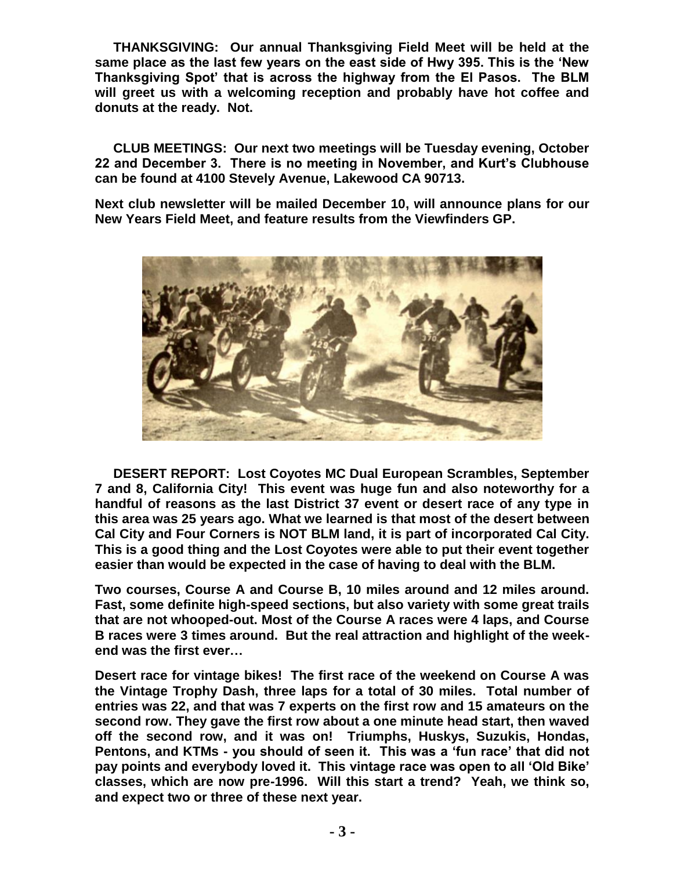**THANKSGIVING: Our annual Thanksgiving Field Meet will be held at the same place as the last few years on the east side of Hwy 395. This is the 'New Thanksgiving Spot' that is across the highway from the El Pasos. The BLM will greet us with a welcoming reception and probably have hot coffee and donuts at the ready. Not.** 

 **CLUB MEETINGS: Our next two meetings will be Tuesday evening, October 22 and December 3. There is no meeting in November, and Kurt's Clubhouse can be found at 4100 Stevely Avenue, Lakewood CA 90713.** 

**Next club newsletter will be mailed December 10, will announce plans for our New Years Field Meet, and feature results from the Viewfinders GP.** 



 **DESERT REPORT: Lost Coyotes MC Dual European Scrambles, September 7 and 8, California City! This event was huge fun and also noteworthy for a handful of reasons as the last District 37 event or desert race of any type in this area was 25 years ago. What we learned is that most of the desert between Cal City and Four Corners is NOT BLM land, it is part of incorporated Cal City. This is a good thing and the Lost Coyotes were able to put their event together easier than would be expected in the case of having to deal with the BLM.** 

**Two courses, Course A and Course B, 10 miles around and 12 miles around. Fast, some definite high-speed sections, but also variety with some great trails that are not whooped-out. Most of the Course A races were 4 laps, and Course B races were 3 times around. But the real attraction and highlight of the weekend was the first ever…** 

**Desert race for vintage bikes! The first race of the weekend on Course A was the Vintage Trophy Dash, three laps for a total of 30 miles. Total number of entries was 22, and that was 7 experts on the first row and 15 amateurs on the second row. They gave the first row about a one minute head start, then waved off the second row, and it was on! Triumphs, Huskys, Suzukis, Hondas, Pentons, and KTMs - you should of seen it. This was a 'fun race' that did not pay points and everybody loved it. This vintage race was open to all 'Old Bike' classes, which are now pre-1996. Will this start a trend? Yeah, we think so, and expect two or three of these next year.**